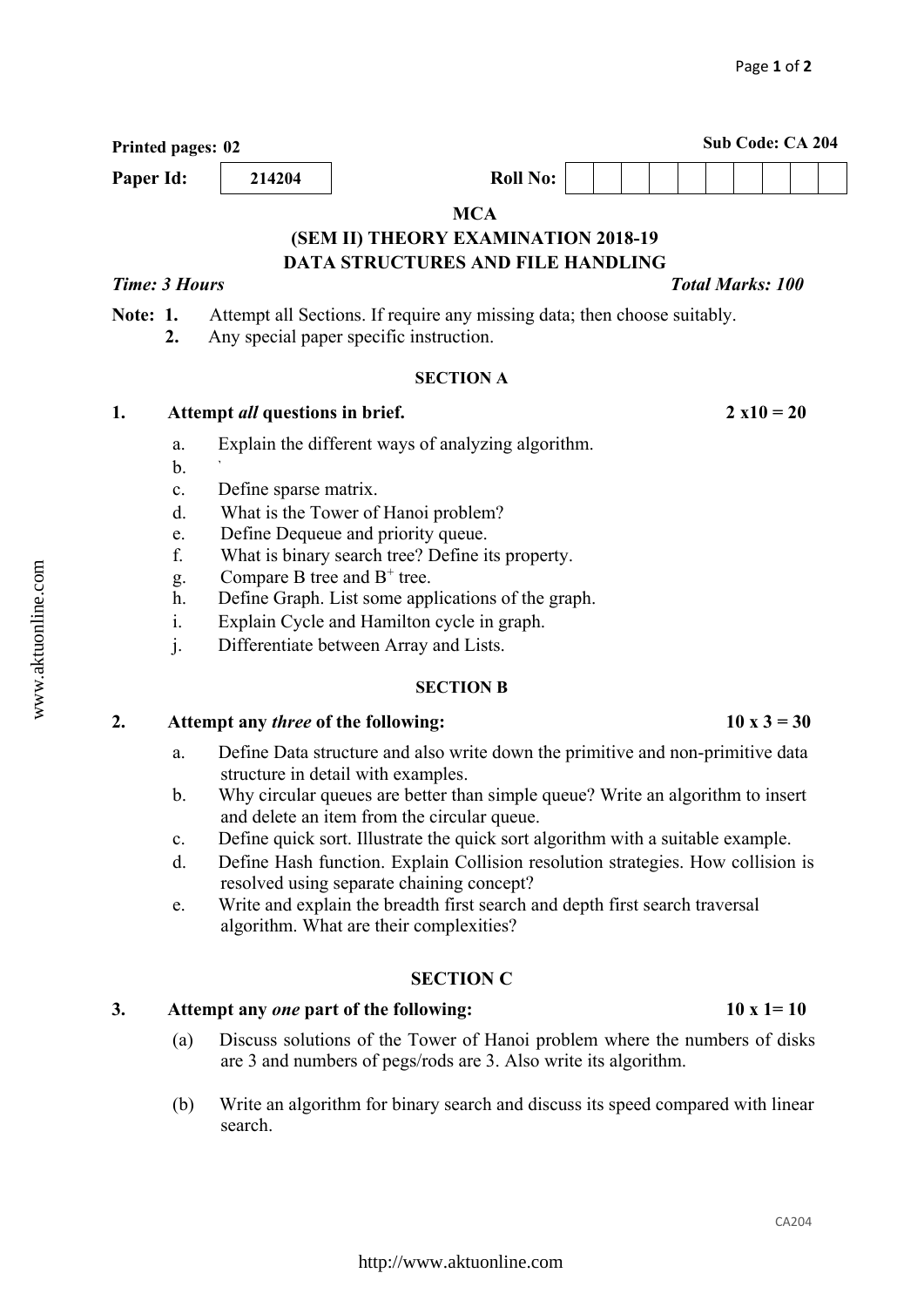CA204

# **MCA (SEM II) THEORY EXAMINATION 2018-19 DATA STRUCTURES AND FILE HANDLING**  *Time: 3 Hours* The *Total Marks: 100 Total Marks: 100* **Note: 1.** Attempt all Sections. If require any missing data; then choose suitably.  **2.** Any special paper specific instruction.

## **SECTION A**

## **1. Attempt** *all* **questions in brief. 2 x10 = 20**

- a. Explain the different ways of analyzing algorithm.
- $\mathbf{b}$ . What is meant by time-off?
- c. Define sparse matrix.
- d. What is the Tower of Hanoi problem?
- e. Define Dequeue and priority queue.
- f. What is binary search tree? Define its property.
- g. Compare B tree and  $B^+$  tree.
- h. Define Graph. List some applications of the graph.
- i. Explain Cycle and Hamilton cycle in graph.
- j. Differentiate between Array and Lists.

## **SECTION B**

## 2. Attempt any *three* of the following:  $10 \times 3 = 30$

- a. Define Data structure and also write down the primitive and non-primitive data structure in detail with examples.
- b. Why circular queues are better than simple queue? Write an algorithm to insert and delete an item from the circular queue.
- c. Define quick sort. Illustrate the quick sort algorithm with a suitable example.
- d. Define Hash function. Explain Collision resolution strategies. How collision is resolved using separate chaining concept?
- e. Write and explain the breadth first search and depth first search traversal algorithm. What are their complexities?

## **SECTION C**

## **3. Attempt any** *one* **part of the following: 10 x 1= 10**

- (a) Discuss solutions of the Tower of Hanoi problem where the numbers of disks are 3 and numbers of pegs/rods are 3. Also write its algorithm.
- (b) Write an algorithm for binary search and discuss its speed compared with linear search.

## **Printed pages: 02** Sub Code: CA 204 **Paper Id:**  $\begin{array}{|c|c|c|c|} \hline \textbf{214204} & \textbf{011 No:} \end{array}$